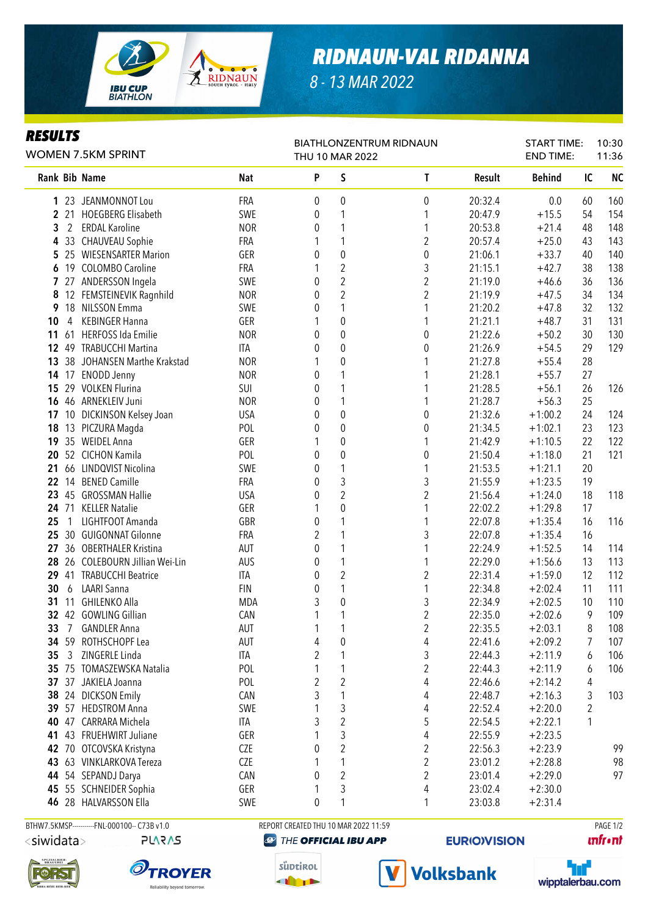

## *RIDNAUN-VAL RIDANNA*

*8 - 13 MAR 2022*

## *RESULTS*

| <b>RESULTS</b><br><b>WOMEN 7.5KM SPRINT</b> |                |                              |            | <b>BIATHLONZENTRUM RIDNAUN</b><br>THU 10 MAR 2022 |                  |                         |         | <b>START TIME:</b><br><b>END TIME:</b> |    | 10:30<br>11:36 |
|---------------------------------------------|----------------|------------------------------|------------|---------------------------------------------------|------------------|-------------------------|---------|----------------------------------------|----|----------------|
|                                             |                | Rank Bib Name                | <b>Nat</b> | P                                                 | S                | T                       | Result  | <b>Behind</b>                          | IC | <b>NC</b>      |
| 1                                           |                | 23 JEANMONNOT Lou            | FRA        | 0                                                 | 0                | 0                       | 20:32.4 | 0.0                                    | 60 | 160            |
| $\mathbf{2}$                                |                | 21 HOEGBERG Elisabeth        | SWE        | 0                                                 | 1                | 1                       | 20:47.9 | $+15.5$                                | 54 | 154            |
| 3                                           | $\overline{2}$ | <b>ERDAL Karoline</b>        | <b>NOR</b> | 0                                                 | 1                | 1                       | 20:53.8 | $+21.4$                                | 48 | 148            |
| 4                                           |                | 33 CHAUVEAU Sophie           | FRA        | 1                                                 | 1                | $\overline{\mathbf{c}}$ | 20:57.4 | $+25.0$                                | 43 | 143            |
| 5                                           |                | 25 WIESENSARTER Marion       | GER        | 0                                                 | 0                | $\pmb{0}$               | 21:06.1 | $+33.7$                                | 40 | 140            |
| 6                                           | 19             | <b>COLOMBO Caroline</b>      | FRA        | 1                                                 | $\overline{2}$   | 3                       | 21:15.1 | $+42.7$                                | 38 | 138            |
| 7                                           |                | 27 ANDERSSON Ingela          | SWE        | 0                                                 | $\overline{c}$   | $\overline{\mathbf{c}}$ | 21:19.0 | $+46.6$                                | 36 | 136            |
| 8                                           |                | 12 FEMSTEINEVIK Ragnhild     | <b>NOR</b> | 0                                                 | $\overline{2}$   | $\overline{c}$          | 21:19.9 | $+47.5$                                | 34 | 134            |
| 9                                           |                | 18 NILSSON Emma              | SWE        | 0                                                 | 1                |                         | 21:20.2 | $+47.8$                                | 32 | 132            |
| 10                                          | 4              | <b>KEBINGER Hanna</b>        | GER        | 1                                                 | 0                |                         | 21:21.1 | $+48.7$                                | 31 | 131            |
| 11                                          |                | 61 HERFOSS Ida Emilie        | <b>NOR</b> | 0                                                 | $\boldsymbol{0}$ | $\boldsymbol{0}$        | 21:22.6 | $+50.2$                                | 30 | 130            |
| $12 \,$                                     |                | 49 TRABUCCHI Martina         | ITA        | 0                                                 | $\boldsymbol{0}$ | $\boldsymbol{0}$        | 21:26.9 | $+54.5$                                | 29 | 129            |
| 13                                          |                | 38 JOHANSEN Marthe Krakstad  | <b>NOR</b> | 1                                                 | 0                |                         | 21:27.8 | $+55.4$                                | 28 |                |
| 14                                          |                | 17 ENODD Jenny               | <b>NOR</b> | 0                                                 | 1                |                         | 21:28.1 | $+55.7$                                | 27 |                |
| 15                                          |                | 29 VOLKEN Flurina            | SUI        | 0                                                 | 1                |                         | 21:28.5 | $+56.1$                                | 26 | 126            |
| 16                                          |                | 46 ARNEKLEIV Juni            | <b>NOR</b> | 0                                                 | 1                | 1                       | 21:28.7 | $+56.3$                                | 25 |                |
| 17                                          |                | 10 DICKINSON Kelsey Joan     | <b>USA</b> | 0                                                 | $\mathbf 0$      | 0                       | 21:32.6 | $+1:00.2$                              | 24 | 124            |
| 18                                          |                | 13 PICZURA Magda             | POL        | 0                                                 | $\mathbf 0$      | 0                       | 21:34.5 | $+1:02.1$                              | 23 | 123            |
| 19                                          |                | 35 WEIDEL Anna               | GER        | 1                                                 | 0                | 1                       | 21:42.9 | $+1:10.5$                              | 22 | 122            |
| 20                                          |                | 52 CICHON Kamila             | POL        | 0                                                 | 0                | 0                       | 21:50.4 | $+1:18.0$                              | 21 | 121            |
| 21                                          |                | 66 LINDQVIST Nicolina        | SWE        | 0                                                 | 1                | 1                       | 21:53.5 | $+1:21.1$                              | 20 |                |
| 22                                          |                | 14 BENED Camille             | FRA        | 0                                                 | 3                | 3                       | 21:55.9 | $+1:23.5$                              | 19 |                |
| 23                                          |                | 45 GROSSMAN Hallie           | <b>USA</b> | 0                                                 | $\overline{2}$   | $\overline{2}$          | 21:56.4 | $+1:24.0$                              | 18 | 118            |
| 24                                          |                | 71 KELLER Natalie            | GER        | 1                                                 | 0                |                         | 22:02.2 | $+1:29.8$                              | 17 |                |
| 25                                          | $\overline{1}$ | LIGHTFOOT Amanda             | GBR        | 0                                                 | 1                |                         | 22:07.8 | $+1:35.4$                              | 16 | 116            |
| 25                                          |                | 30 GUIGONNAT Gilonne         | FRA        | $\overline{2}$                                    | 1                | 3                       | 22:07.8 | $+1:35.4$                              | 16 |                |
| 27                                          |                | 36 OBERTHALER Kristina       | AUT        | 0                                                 | 1                |                         | 22:24.9 | $+1:52.5$                              | 14 | 114            |
| 28                                          |                | 26 COLEBOURN Jillian Wei-Lin | AUS        | 0                                                 | 1                |                         | 22:29.0 | $+1:56.6$                              | 13 | 113            |
| 29                                          |                | 41 TRABUCCHI Beatrice        | <b>ITA</b> | 0                                                 | $\overline{c}$   | $\sqrt{2}$              | 22:31.4 | $+1:59.0$                              | 12 | 112            |
| 30                                          | 6              | <b>LAARI Sanna</b>           | <b>FIN</b> | 0                                                 | 1                | 1                       | 22:34.8 | $+2:02.4$                              | 11 | 111            |
| 31                                          | 11             | GHILENKO Alla                | MDA        | 3                                                 | 0                | 3                       | 22:34.9 | $+2:02.5$                              | 10 | 110            |
|                                             |                | 32 42 GOWLING Gillian        | CAN        | 1                                                 | 1                | $\overline{2}$          | 22:35.0 | $+2:02.6$                              | 9  | 109            |
| 33                                          | 7              | <b>GANDLER Anna</b>          | <b>AUT</b> | 1                                                 | 1                | $\boldsymbol{2}$        | 22:35.5 | $+2:03.1$                              | 8  | 108            |
|                                             |                | 34 59 ROTHSCHOPF Lea         | <b>AUT</b> | 4                                                 | 0                | 4                       | 22:41.6 | $+2:09.2$                              | 7  | 107            |
| 35                                          | 3              | ZINGERLE Linda               | ITA        | 2                                                 | 1                | 3                       | 22:44.3 | $+2:11.9$                              | 6  | 106            |
|                                             |                | 35 75 TOMASZEWSKA Natalia    | POL        | 1                                                 | 1                | $\overline{2}$          | 22:44.3 | $+2:11.9$                              | 6  | 106            |
| 37                                          |                | 37 JAKIELA Joanna            | POL        | $\overline{2}$                                    | $\boldsymbol{2}$ | 4                       | 22:46.6 | $+2:14.2$                              | 4  |                |
|                                             |                | 38 24 DICKSON Emily          | CAN        | 3                                                 | 1                | 4                       | 22:48.7 | $+2:16.3$                              | 3  | 103            |
| 39                                          |                | 57 HEDSTROM Anna             | SWE        | 1                                                 | 3                | 4                       | 22:52.4 | $+2:20.0$                              | 2  |                |
|                                             |                | 40 47 CARRARA Michela        | ITA        | 3                                                 | $\overline{c}$   | 5                       | 22:54.5 | $+2:22.1$                              | 1  |                |
| 41                                          |                | 43 FRUEHWIRT Juliane         | GER        | 1                                                 | 3                | 4                       | 22:55.9 | $+2:23.5$                              |    |                |
|                                             |                | 42 70 OTCOVSKA Kristyna      | CZE        | 0                                                 | 2                | 2                       | 22:56.3 | $+2:23.9$                              |    | 99             |
|                                             |                | 43 63 VINKLARKOVA Tereza     | CZE        |                                                   | 1                | 2                       | 23:01.2 | $+2:28.8$                              |    | 98             |
|                                             |                | 44 54 SEPANDJ Darya          | CAN        | 0                                                 | $\overline{2}$   | $\overline{c}$          | 23:01.4 | $+2:29.0$                              |    | 97             |

45 55 SCHNEIDER Sophia GER 1 3 4 23:02.4 +2:30.0 **46** 28 HALVARSSON Ella SWE 0 1 1 23:03.8 +2:31.4

**PLARAS** 



<siwidata>





**@ THE OFFICIAL IBU APP** 

süptirol

**THEFT** 



**EURIO)VISION** 

**Volksbank** 



**unfront**